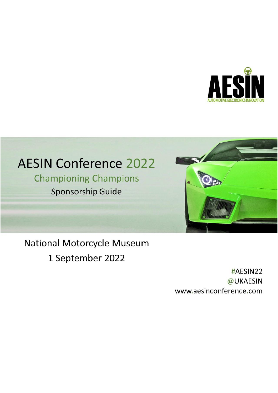

# **AESIN Conference 2022**

**Championing Champions** 

**Sponsorship Guide** 



## **National Motorcycle Museum**

1 September 2022

#AESIN22 @UKAESIN www.aesinconference.com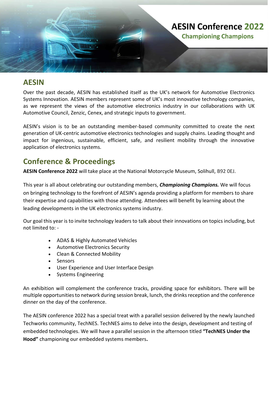

### **AESIN**

Over the past decade, AESIN has established itself as the UK's network for Automotive Electronics Systems Innovation. AESIN members represent some of UK's most innovative technology companies, as we represent the views of the automotive electronics industry in our collaborations with UK Automotive Council, Zenzic, Cenex, and strategic inputs to government.

AESIN's vision is to be an outstanding member-based community committed to create the next generation of UK-centric automotive electronics technologies and supply chains. Leading thought and impact for ingenious, sustainable, efficient, safe, and resilient mobility through the innovative application of electronics systems.

## **Conference & Proceedings**

**AESIN Conference 2022** will take place at the National Motorcycle Museum, Solihull, B92 0EJ.

This year is all about celebrating our outstanding members, *Championing Champions.* We will focus on bringing technology to the forefront of AESIN's agenda providing a platform for members to share their expertise and capabilities with those attending. Attendees will benefit by learning about the leading developments in the UK electronics systems industry.

Our goal this year is to invite technology leaders to talk about their innovations on topics including, but not limited to: -

- ADAS & Highly Automated Vehicles
- Automotive Electronics Security
- Clean & Connected Mobility
- Sensors
- User Experience and User Interface Design
- Systems Engineering

An exhibition will complement the conference tracks, providing space for exhibitors. There will be multiple opportunities to network during session break, lunch, the drinks reception and the conference dinner on the day of the conference.

The AESIN conference 2022 has a special treat with a parallel session delivered by the newly launched Techworks community, TechNES. TechNES aims to delve into the design, development and testing of embedded technologies. We will have a parallel session in the afternoon titled **"TechNES Under the Hood"** championing our embedded systems members**.**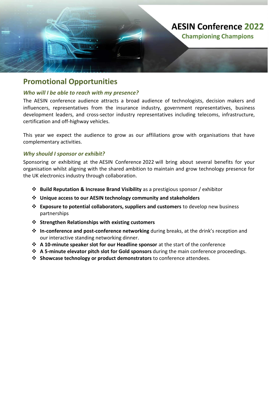

### **Promotional Opportunities**

#### *Who will I be able to reach with my presence?*

The AESIN conference audience attracts a broad audience of technologists, decision makers and influencers, representatives from the insurance industry, government representatives, business development leaders, and cross-sector industry representatives including telecoms, infrastructure, certification and off-highway vehicles.

This year we expect the audience to grow as our affiliations grow with organisations that have complementary activities.

#### *Why should I sponsor or exhibit?*

Sponsoring or exhibiting at the AESIN Conference 2022 will bring about several benefits for your organisation whilst aligning with the shared ambition to maintain and grow technology presence for the UK electronics industry through collaboration.

- ❖ **Build Reputation & Increase Brand Visibility** as a prestigious sponsor / exhibitor
- ❖ **Unique access to our AESIN technology community and stakeholders**
- ❖ **Exposure to potential collaborators, suppliers and customers** to develop new business partnerships
- ❖ **Strengthen Relationships with existing customers**
- ❖ **In-conference and post-conference networking** during breaks, at the drink's reception and our interactive standing networking dinner.
- ❖ **A 10-minute speaker slot for our Headline sponsor** at the start of the conference
- ❖ **A 5-minute elevator pitch slot for Gold sponsors** during the main conference proceedings.
- ❖ **Showcase technology or product demonstrators** to conference attendees.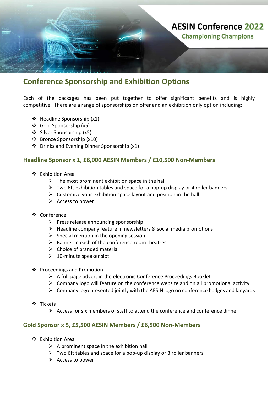

### **Conference Sponsorship and Exhibition Options**

Each of the packages has been put together to offer significant benefits and is highly competitive. There are a range of sponsorships on offer and an exhibition only option including:

- ❖ Headline Sponsorship (x1)
- ❖ Gold Sponsorship (x5)
- ❖ Silver Sponsorship (x5)
- ❖ Bronze Sponsorship (x10)
- ❖ Drinks and Evening Dinner Sponsorship (x1)

#### **Headline Sponsor x 1, £8,000 AESIN Members / £10,500 Non-Members**

- ❖ Exhibition Area
	- $\triangleright$  The most prominent exhibition space in the hall
	- $\triangleright$  Two 6ft exhibition tables and space for a pop-up display or 4 roller banners
	- $\triangleright$  Customize your exhibition space layout and position in the hall
	- $\triangleright$  Access to power
- ❖ Conference
	- $\triangleright$  Press release announcing sponsorship
	- $\triangleright$  Headline company feature in newsletters & social media promotions
	- $\triangleright$  Special mention in the opening session
	- $\triangleright$  Banner in each of the conference room theatres
	- $\triangleright$  Choice of branded material
	- $\geq 10$ -minute speaker slot
- ❖ Proceedings and Promotion
	- $\triangleright$  A full-page advert in the electronic Conference Proceedings Booklet
	- $\triangleright$  Company logo will feature on the conference website and on all promotional activity
	- $\triangleright$  Company logo presented jointly with the AESIN logo on conference badges and lanyards
- ❖ Tickets
	- ➢ Access for six members of staff to attend the conference and conference dinner

#### **Gold Sponsor x 5, £5,500 AESIN Members / £6,500 Non-Members**

- ❖ Exhibition Area
	- $\triangleright$  A prominent space in the exhibition hall
	- $\triangleright$  Two 6ft tables and space for a pop-up display or 3 roller banners
	- ➢ Access to power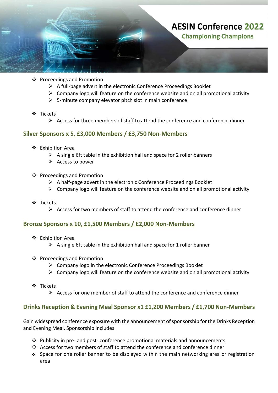

- ❖ Proceedings and Promotion
	- ➢ A full-page advert in the electronic Conference Proceedings Booklet
	- $\triangleright$  Company logo will feature on the conference website and on all promotional activity
	- $\triangleright$  5-minute company elevator pitch slot in main conference
- ❖ Tickets
	- $\triangleright$  Access for three members of staff to attend the conference and conference dinner

#### **Silver Sponsors x 5, £3,000 Members / £3,750 Non-Members**

- ❖ Exhibition Area
	- $\triangleright$  A single 6ft table in the exhibition hall and space for 2 roller banners
	- ➢ Access to power
- ❖ Proceedings and Promotion
	- ➢ A half-page advert in the electronic Conference Proceedings Booklet
	- $\triangleright$  Company logo will feature on the conference website and on all promotional activity
- ❖ Tickets
	- $\triangleright$  Access for two members of staff to attend the conference and conference dinner

#### **Bronze Sponsors x 10, £1,500 Members / £2,000 Non-Members**

- ❖ Exhibition Area
	- $\triangleright$  A single 6ft table in the exhibition hall and space for 1 roller banner
- ❖ Proceedings and Promotion
	- $\triangleright$  Company logo in the electronic Conference Proceedings Booklet
	- $\triangleright$  Company logo will feature on the conference website and on all promotional activity
- ❖ Tickets
	- $\triangleright$  Access for one member of staff to attend the conference and conference dinner

#### **Drinks Reception & Evening Meal Sponsor x1 £1,200 Members / £1,700 Non-Members**

Gain widespread conference exposure with the announcement of sponsorship for the Drinks Reception and Evening Meal. Sponsorship includes:

- ❖ Publicity in pre- and post- conference promotional materials and announcements.
- ❖ Access for two members of staff to attend the conference and conference dinner
- ❖ Space for one roller banner to be displayed within the main networking area or registration area